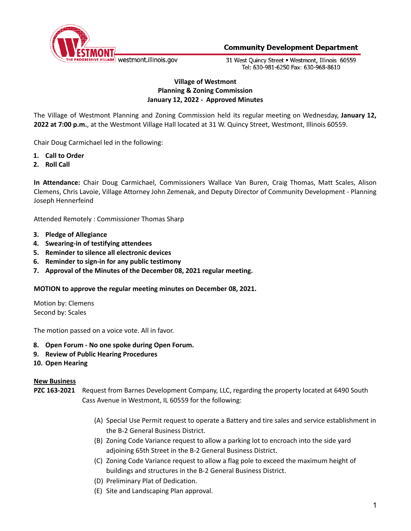

31 West Quincy Street . Westmont, Illinois 60559 Tel: 630-981-6250 Fax: 630-968-8610

# **Village of Westmont Planning & Zoning Commission January 12, 2022 - Approved Minutes**

The Village of Westmont Planning and Zoning Commission held its regular meeting on Wednesday, **January 12, 2022 at 7:00 p.m.**, at the Westmont Village Hall located at 31 W. Quincy Street, Westmont, Illinois 60559.

Chair Doug Carmichael led in the following:

- **1. Call to Order**
- **2. Roll Call**

**In Attendance:** Chair Doug Carmichael, Commissioners Wallace Van Buren, Craig Thomas, Matt Scales, Alison Clemens, Chris Lavoie, Village Attorney John Zemenak, and Deputy Director of Community Development - Planning Joseph Hennerfeind

Attended Remotely : Commissioner Thomas Sharp

- **3. Pledge of Allegiance**
- **4. Swearing-in of testifying attendees**
- **5. Reminder to silence all electronic devices**
- **6. Reminder to sign-in for any public testimony**
- **7. Approval of the Minutes of the December 08, 2021 regular meeting.**

#### **MOTION to approve the regular meeting minutes on December 08, 2021.**

Motion by: Clemens Second by: Scales

The motion passed on a voice vote. All in favor.

- **8. Open Forum - No one spoke during Open Forum.**
- **9. Review of Public Hearing Procedures**
- **10. Open Hearing**

#### **New Business**

- **PZC 163-2021** Request from Barnes Development Company, LLC, regarding the property located at 6490 South Cass Avenue in Westmont, IL 60559 for the following:
	- (A) Special Use Permit request to operate a Battery and tire sales and service establishment in the B‐2 General Business District.
	- (B) Zoning Code Variance request to allow a parking lot to encroach into the side yard adjoining 65th Street in the B‐2 General Business District.
	- (C) Zoning Code Variance request to allow a flag pole to exceed the maximum height of buildings and structures in the B‐2 General Business District.
	- (D) Preliminary Plat of Dedication.
	- (E) Site and Landscaping Plan approval.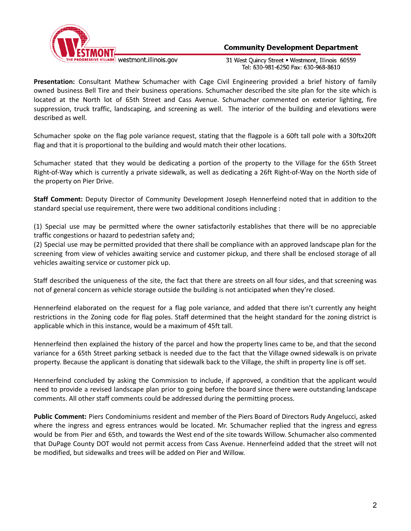

31 West Quincy Street . Westmont, Illinois 60559 Tel: 630-981-6250 Fax: 630-968-8610

**Presentation:** Consultant Mathew Schumacher with Cage Civil Engineering provided a brief history of family owned business Bell Tire and their business operations. Schumacher described the site plan for the site which is located at the North lot of 65th Street and Cass Avenue. Schumacher commented on exterior lighting, fire suppression, truck traffic, landscaping, and screening as well. The interior of the building and elevations were described as well.

Schumacher spoke on the flag pole variance request, stating that the flagpole is a 60ft tall pole with a 30ftx20ft flag and that it is proportional to the building and would match their other locations.

Schumacher stated that they would be dedicating a portion of the property to the Village for the 65th Street Right-of-Way which is currently a private sidewalk, as well as dedicating a 26ft Right-of-Way on the North side of the property on Pier Drive.

**Staff Comment:** Deputy Director of Community Development Joseph Hennerfeind noted that in addition to the standard special use requirement, there were two additional conditions including :

(1) Special use may be permitted where the owner satisfactorily establishes that there will be no appreciable traffic congestions or hazard to pedestrian safety and;

(2) Special use may be permitted provided that there shall be compliance with an approved landscape plan for the screening from view of vehicles awaiting service and customer pickup, and there shall be enclosed storage of all vehicles awaiting service or customer pick up.

Staff described the uniqueness of the site, the fact that there are streets on all four sides, and that screening was not of general concern as vehicle storage outside the building is not anticipated when they're closed.

Hennerfeind elaborated on the request for a flag pole variance, and added that there isn't currently any height restrictions in the Zoning code for flag poles. Staff determined that the height standard for the zoning district is applicable which in this instance, would be a maximum of 45ft tall.

Hennerfeind then explained the history of the parcel and how the property lines came to be, and that the second variance for a 65th Street parking setback is needed due to the fact that the Village owned sidewalk is on private property. Because the applicant is donating that sidewalk back to the Village, the shift in property line is off set.

Hennerfeind concluded by asking the Commission to include, if approved, a condition that the applicant would need to provide a revised landscape plan prior to going before the board since there were outstanding landscape comments. All other staff comments could be addressed during the permitting process.

**Public Comment:** Piers Condominiums resident and member of the Piers Board of Directors Rudy Angelucci, asked where the ingress and egress entrances would be located. Mr. Schumacher replied that the ingress and egress would be from Pier and 65th, and towards the West end of the site towards Willow. Schumacher also commented that DuPage County DOT would not permit access from Cass Avenue. Hennerfeind added that the street will not be modified, but sidewalks and trees will be added on Pier and Willow.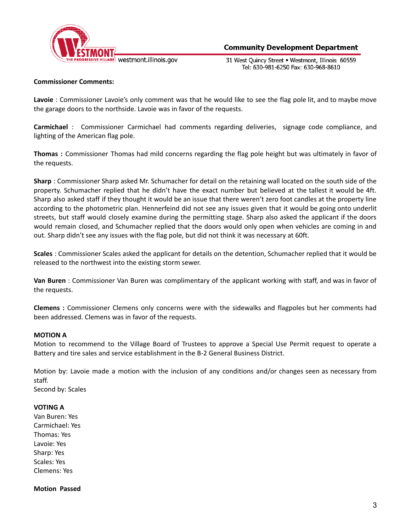

31 West Ouincy Street . Westmont, Illinois 60559 Tel: 630-981-6250 Fax: 630-968-8610

## **Commissioner Comments:**

**Lavoie** : Commissioner Lavoie's only comment was that he would like to see the flag pole lit, and to maybe move the garage doors to the northside. Lavoie was in favor of the requests.

**Carmichael** : Commissioner Carmichael had comments regarding deliveries, signage code compliance, and lighting of the American flag pole.

**Thomas :** Commissioner Thomas had mild concerns regarding the flag pole height but was ultimately in favor of the requests.

**Sharp** : Commissioner Sharp asked Mr. Schumacher for detail on the retaining wall located on the south side of the property. Schumacher replied that he didn't have the exact number but believed at the tallest it would be 4ft. Sharp also asked staff if they thought it would be an issue that there weren't zero foot candles at the property line according to the photometric plan. Hennerfeind did not see any issues given that it would be going onto underlit streets, but staff would closely examine during the permitting stage. Sharp also asked the applicant if the doors would remain closed, and Schumacher replied that the doors would only open when vehicles are coming in and out. Sharp didn't see any issues with the flag pole, but did not think it was necessary at 60ft.

**Scales** : Commissioner Scales asked the applicant for details on the detention, Schumacher replied that it would be released to the northwest into the existing storm sewer.

**Van Buren** : Commissioner Van Buren was complimentary of the applicant working with staff, and was in favor of the requests.

**Clemens :** Commissioner Clemens only concerns were with the sidewalks and flagpoles but her comments had been addressed. Clemens was in favor of the requests.

### **MOTION A**

Motion to recommend to the Village Board of Trustees to approve a Special Use Permit request to operate a Battery and tire sales and service establishment in the B‐2 General Business District.

Motion by: Lavoie made a motion with the inclusion of any conditions and/or changes seen as necessary from staff.

Second by: Scales

#### **VOTING A**

Van Buren: Yes Carmichael: Yes Thomas: Yes Lavoie: Yes Sharp: Yes Scales: Yes Clemens: Yes

## **Motion Passed**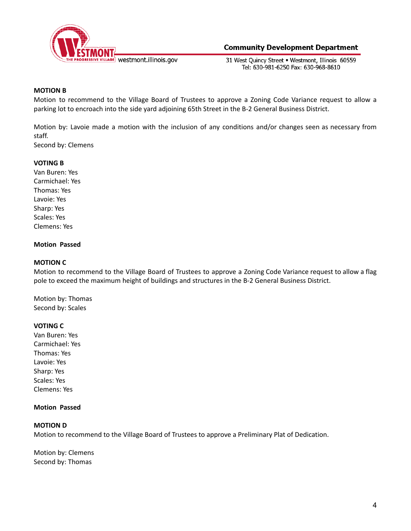

31 West Ouincy Street . Westmont, Illinois 60559 Tel: 630-981-6250 Fax: 630-968-8610

## **MOTION B**

Motion to recommend to the Village Board of Trustees to approve a Zoning Code Variance request to allow a parking lot to encroach into the side yard adjoining 65th Street in the B‐2 General Business District.

Motion by: Lavoie made a motion with the inclusion of any conditions and/or changes seen as necessary from staff.

Second by: Clemens

#### **VOTING B**

Van Buren: Yes Carmichael: Yes Thomas: Yes Lavoie: Yes Sharp: Yes Scales: Yes Clemens: Yes

### **Motion Passed**

#### **MOTION C**

Motion to recommend to the Village Board of Trustees to approve a Zoning Code Variance request to allow a flag pole to exceed the maximum height of buildings and structures in the B‐2 General Business District.

Motion by: Thomas Second by: Scales

## **VOTING C**

Van Buren: Yes Carmichael: Yes Thomas: Yes Lavoie: Yes Sharp: Yes Scales: Yes Clemens: Yes

#### **Motion Passed**

## **MOTION D**

Motion to recommend to the Village Board of Trustees to approve a Preliminary Plat of Dedication.

Motion by: Clemens Second by: Thomas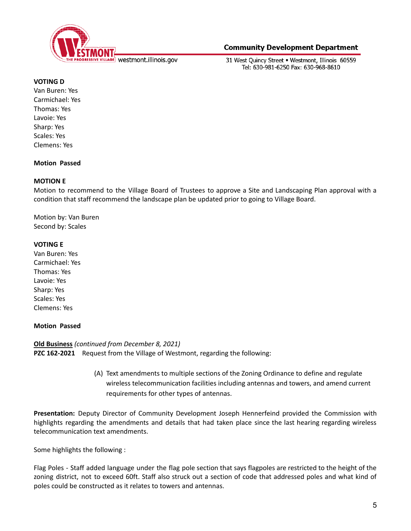

31 West Ouincy Street . Westmont, Illinois 60559 Tel: 630-981-6250 Fax: 630-968-8610

### **VOTING D**

Van Buren: Yes Carmichael: Yes Thomas: Yes Lavoie: Yes Sharp: Yes Scales: Yes Clemens: Yes

### **Motion Passed**

### **MOTION E**

Motion to recommend to the Village Board of Trustees to approve a Site and Landscaping Plan approval with a condition that staff recommend the landscape plan be updated prior to going to Village Board.

Motion by: Van Buren Second by: Scales

### **VOTING E**

Van Buren: Yes Carmichael: Yes Thomas: Yes Lavoie: Yes Sharp: Yes Scales: Yes Clemens: Yes

## **Motion Passed**

**Old Business** *(continued from December 8, 2021)* **PZC 162-2021** Request from the Village of Westmont, regarding the following:

> (A) Text amendments to multiple sections of the Zoning Ordinance to define and regulate wireless telecommunication facilities including antennas and towers, and amend current requirements for other types of antennas.

**Presentation:** Deputy Director of Community Development Joseph Hennerfeind provided the Commission with highlights regarding the amendments and details that had taken place since the last hearing regarding wireless telecommunication text amendments.

Some highlights the following :

Flag Poles - Staff added language under the flag pole section that says flagpoles are restricted to the height of the zoning district, not to exceed 60ft. Staff also struck out a section of code that addressed poles and what kind of poles could be constructed as it relates to towers and antennas.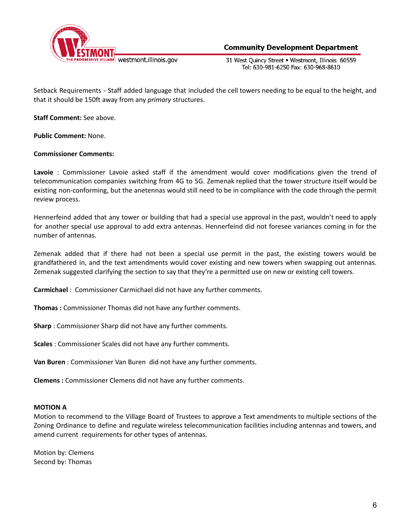

31 West Ouincy Street . Westmont, Illinois 60559 Tel: 630-981-6250 Fax: 630-968-8610

Setback Requirements - Staff added language that included the cell towers needing to be equal to the height, and that it should be 150ft away from any *primary* structures.

**Staff Comment:** See above.

**Public Comment:** None.

### **Commissioner Comments:**

**Lavoie** : Commissioner Lavoie asked staff if the amendment would cover modifications given the trend of telecommunication companies switching from 4G to 5G. Zemenak replied that the tower structure itself would be existing non-conforming, but the anetennas would still need to be in compliance with the code through the permit review process.

Hennerfeind added that any tower or building that had a special use approval in the past, wouldn't need to apply for another special use approval to add extra antennas. Hennerfeind did not foresee variances coming in for the number of antennas.

Zemenak added that if there had not been a special use permit in the past, the existing towers would be grandfathered in, and the text amendments would cover existing and new towers when swapping out antennas. Zemenak suggested clarifying the section to say that they're a permitted use on new or existing cell towers.

**Carmichael** : Commissioner Carmichael did not have any further comments.

**Thomas :** Commissioner Thomas did not have any further comments.

**Sharp** : Commissioner Sharp did not have any further comments.

**Scales** : Commissioner Scales did not have any further comments.

**Van Buren** : Commissioner Van Buren did not have any further comments.

**Clemens :** Commissioner Clemens did not have any further comments.

#### **MOTION A**

Motion to recommend to the Village Board of Trustees to approve a Text amendments to multiple sections of the Zoning Ordinance to define and regulate wireless telecommunication facilities including antennas and towers, and amend current requirements for other types of antennas.

Motion by: Clemens Second by: Thomas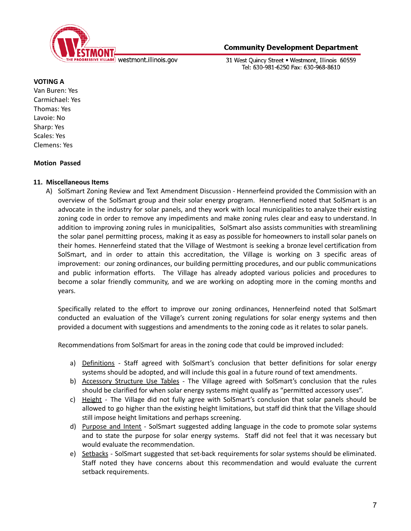

31 West Quincy Street . Westmont, Illinois 60559 Tel: 630-981-6250 Fax: 630-968-8610

### **VOTING A**

Van Buren: Yes Carmichael: Yes Thomas: Yes Lavoie: No Sharp: Yes Scales: Yes Clemens: Yes

## **Motion Passed**

## **11. Miscellaneous Items**

A) SolSmart Zoning Review and Text Amendment Discussion - Hennerfeind provided the Commission with an overview of the SolSmart group and their solar energy program. Hennerfiend noted that SolSmart is an advocate in the industry for solar panels, and they work with local municipalities to analyze their existing zoning code in order to remove any impediments and make zoning rules clear and easy to understand. In addition to improving zoning rules in municipalities, SolSmart also assists communities with streamlining the solar panel permitting process, making it as easy as possible for homeowners to install solar panels on their homes. Hennerfeind stated that the Village of Westmont is seeking a bronze level certification from SolSmart, and in order to attain this accreditation, the Village is working on 3 specific areas of improvement: our zoning ordinances, our building permitting procedures, and our public communications and public information efforts. The Village has already adopted various policies and procedures to become a solar friendly community, and we are working on adopting more in the coming months and years.

Specifically related to the effort to improve our zoning ordinances, Hennerfeind noted that SolSmart conducted an evaluation of the Village's current zoning regulations for solar energy systems and then provided a document with suggestions and amendments to the zoning code as it relates to solar panels.

Recommendations from SolSmart for areas in the zoning code that could be improved included:

- a) Definitions Staff agreed with SolSmart's conclusion that better definitions for solar energy systems should be adopted, and will include this goal in a future round of text amendments.
- b) Accessory Structure Use Tables The Village agreed with SolSmart's conclusion that the rules should be clarified for when solar energy systems might qualify as "permitted accessory uses".
- c) Height The Village did not fully agree with SolSmart's conclusion that solar panels should be allowed to go higher than the existing height limitations, but staff did think that the Village should still impose height limitations and perhaps screening.
- d) Purpose and Intent SolSmart suggested adding language in the code to promote solar systems and to state the purpose for solar energy systems. Staff did not feel that it was necessary but would evaluate the recommendation.
- e) Setbacks SolSmart suggested that set-back requirements for solar systems should be eliminated. Staff noted they have concerns about this recommendation and would evaluate the current setback requirements.